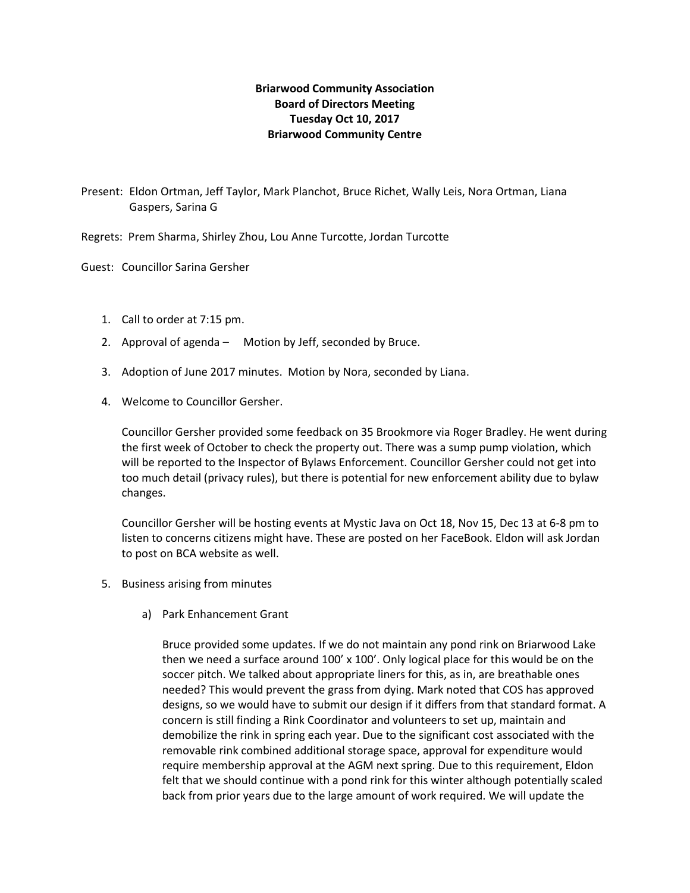## **Briarwood Community Association Board of Directors Meeting Tuesday Oct 10, 2017 Briarwood Community Centre**

Present: Eldon Ortman, Jeff Taylor, Mark Planchot, Bruce Richet, Wally Leis, Nora Ortman, Liana Gaspers, Sarina G

Regrets: Prem Sharma, Shirley Zhou, Lou Anne Turcotte, Jordan Turcotte

Guest: Councillor Sarina Gersher

- 1. Call to order at 7:15 pm.
- 2. Approval of agenda Motion by Jeff, seconded by Bruce.
- 3. Adoption of June 2017 minutes. Motion by Nora, seconded by Liana.
- 4. Welcome to Councillor Gersher.

Councillor Gersher provided some feedback on 35 Brookmore via Roger Bradley. He went during the first week of October to check the property out. There was a sump pump violation, which will be reported to the Inspector of Bylaws Enforcement. Councillor Gersher could not get into too much detail (privacy rules), but there is potential for new enforcement ability due to bylaw changes.

Councillor Gersher will be hosting events at Mystic Java on Oct 18, Nov 15, Dec 13 at 6-8 pm to listen to concerns citizens might have. These are posted on her FaceBook. Eldon will ask Jordan to post on BCA website as well.

- 5. Business arising from minutes
	- a) Park Enhancement Grant

Bruce provided some updates. If we do not maintain any pond rink on Briarwood Lake then we need a surface around 100' x 100'. Only logical place for this would be on the soccer pitch. We talked about appropriate liners for this, as in, are breathable ones needed? This would prevent the grass from dying. Mark noted that COS has approved designs, so we would have to submit our design if it differs from that standard format. A concern is still finding a Rink Coordinator and volunteers to set up, maintain and demobilize the rink in spring each year. Due to the significant cost associated with the removable rink combined additional storage space, approval for expenditure would require membership approval at the AGM next spring. Due to this requirement, Eldon felt that we should continue with a pond rink for this winter although potentially scaled back from prior years due to the large amount of work required. We will update the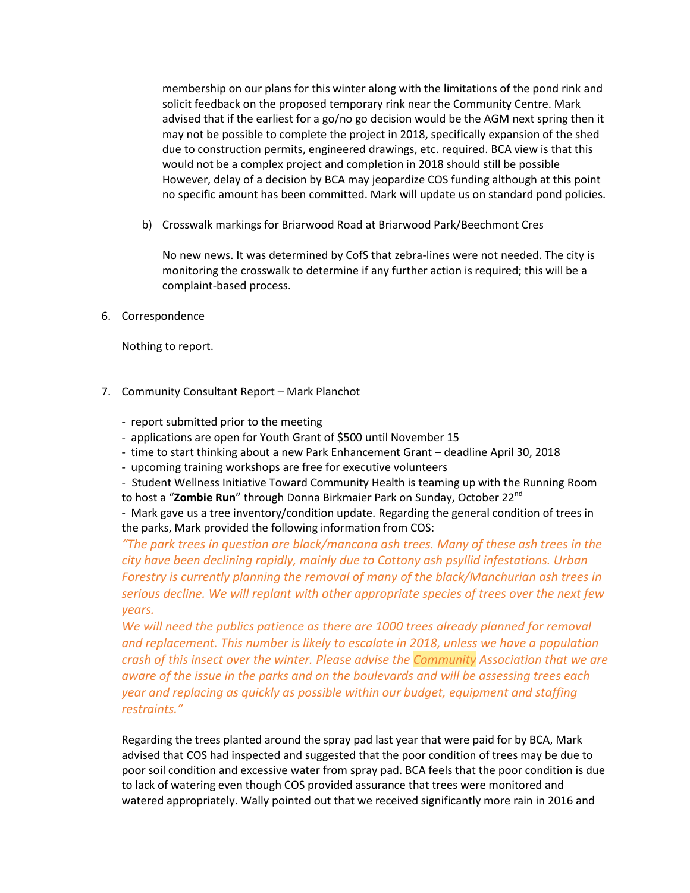membership on our plans for this winter along with the limitations of the pond rink and solicit feedback on the proposed temporary rink near the Community Centre. Mark advised that if the earliest for a go/no go decision would be the AGM next spring then it may not be possible to complete the project in 2018, specifically expansion of the shed due to construction permits, engineered drawings, etc. required. BCA view is that this would not be a complex project and completion in 2018 should still be possible However, delay of a decision by BCA may jeopardize COS funding although at this point no specific amount has been committed. Mark will update us on standard pond policies.

b) Crosswalk markings for Briarwood Road at Briarwood Park/Beechmont Cres

No new news. It was determined by CofS that zebra-lines were not needed. The city is monitoring the crosswalk to determine if any further action is required; this will be a complaint-based process.

6. Correspondence

Nothing to report.

- 7. Community Consultant Report Mark Planchot
	- report submitted prior to the meeting
	- applications are open for Youth Grant of \$500 until November 15
	- time to start thinking about a new Park Enhancement Grant deadline April 30, 2018
	- upcoming training workshops are free for executive volunteers

- Student Wellness Initiative Toward Community Health is teaming up with the Running Room to host a "**Zombie Run**" through Donna Birkmaier Park on Sunday, October 22nd

- Mark gave us a tree inventory/condition update. Regarding the general condition of trees in the parks, Mark provided the following information from COS:

*"The park trees in question are black/mancana ash trees. Many of these ash trees in the city have been declining rapidly, mainly due to Cottony ash psyllid infestations. Urban Forestry is currently planning the removal of many of the black/Manchurian ash trees in serious decline. We will replant with other appropriate species of trees over the next few years.*

*We will need the publics patience as there are 1000 trees already planned for removal and replacement. This number is likely to escalate in 2018, unless we have a population crash of this insect over the winter. Please advise the Community Association that we are aware of the issue in the parks and on the boulevards and will be assessing trees each year and replacing as quickly as possible within our budget, equipment and staffing restraints."*

Regarding the trees planted around the spray pad last year that were paid for by BCA, Mark advised that COS had inspected and suggested that the poor condition of trees may be due to poor soil condition and excessive water from spray pad. BCA feels that the poor condition is due to lack of watering even though COS provided assurance that trees were monitored and watered appropriately. Wally pointed out that we received significantly more rain in 2016 and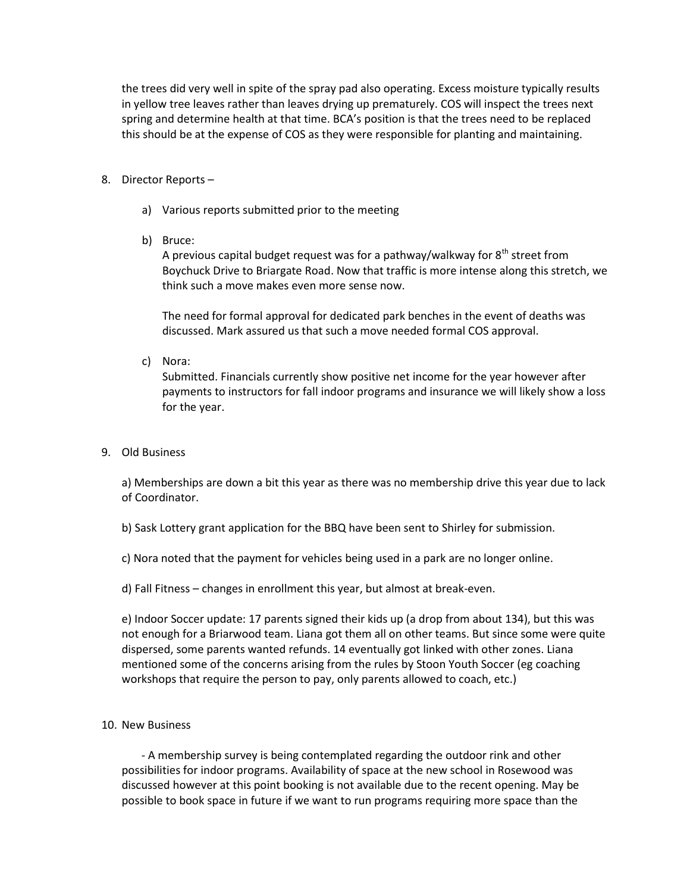the trees did very well in spite of the spray pad also operating. Excess moisture typically results in yellow tree leaves rather than leaves drying up prematurely. COS will inspect the trees next spring and determine health at that time. BCA's position is that the trees need to be replaced this should be at the expense of COS as they were responsible for planting and maintaining.

## 8. Director Reports –

- a) Various reports submitted prior to the meeting
- b) Bruce:

A previous capital budget request was for a pathway/walkway for  $8<sup>th</sup>$  street from Boychuck Drive to Briargate Road. Now that traffic is more intense along this stretch, we think such a move makes even more sense now.

The need for formal approval for dedicated park benches in the event of deaths was discussed. Mark assured us that such a move needed formal COS approval.

c) Nora:

Submitted. Financials currently show positive net income for the year however after payments to instructors for fall indoor programs and insurance we will likely show a loss for the year.

9. Old Business

a) Memberships are down a bit this year as there was no membership drive this year due to lack of Coordinator.

b) Sask Lottery grant application for the BBQ have been sent to Shirley for submission.

c) Nora noted that the payment for vehicles being used in a park are no longer online.

d) Fall Fitness – changes in enrollment this year, but almost at break-even.

e) Indoor Soccer update: 17 parents signed their kids up (a drop from about 134), but this was not enough for a Briarwood team. Liana got them all on other teams. But since some were quite dispersed, some parents wanted refunds. 14 eventually got linked with other zones. Liana mentioned some of the concerns arising from the rules by Stoon Youth Soccer (eg coaching workshops that require the person to pay, only parents allowed to coach, etc.)

## 10. New Business

 - A membership survey is being contemplated regarding the outdoor rink and other possibilities for indoor programs. Availability of space at the new school in Rosewood was discussed however at this point booking is not available due to the recent opening. May be possible to book space in future if we want to run programs requiring more space than the